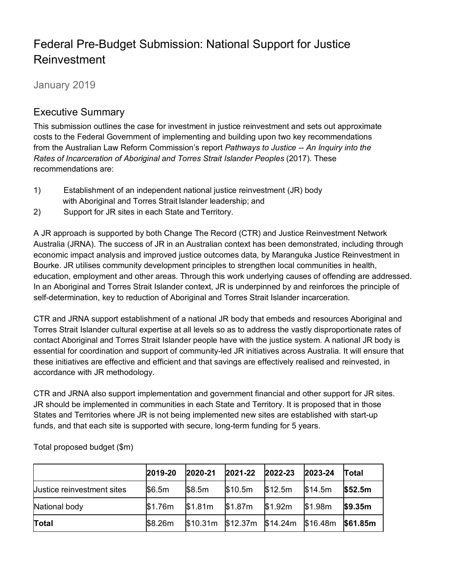# Federal Pre-Budget Submission: National Support for Justice Reinvestment

January 2019

# Executive Summary

This submission outlines the case for investment in justice reinvestment and sets out approximate costs to the Federal Government of implementing and building upon two key recommendations from the Australian Law Reform Commission's report *Pathways to Justice -- An Inquiry into the Rates of Incarceration of Aboriginal and Torres Strait Islander Peoples* (2017). These recommendations are:

- 1) Establishment of an independent national justice reinvestment (JR) body with Aboriginal and Torres Strait Islander leadership; and
- 2) Support for JR sites in each State and Territory.

A JR approach is supported by both Change The Record (CTR) and Justice Reinvestment Network Australia (JRNA). The success of JR in an Australian context has been demonstrated, including through economic impact analysis and improved justice outcomes data, by Maranguka Justice Reinvestment in Bourke. JR utilises community development principles to strengthen local communities in health, education, employment and other areas. Through this work underlying causes of offending are addressed. In an Aboriginal and Torres Strait Islander context, JR is underpinned by and reinforces the principle of self-determination, key to reduction of Aboriginal and Torres Strait Islander incarceration.

CTR and JRNA support establishment of a national JR body that embeds and resources Aboriginal and Torres Strait Islander cultural expertise at all levels so as to address the vastly disproportionate rates of contact Aboriginal and Torres Strait Islander people have with the justice system. A national JR body is essential for coordination and support of community-led JR initiatives across Australia. It will ensure that these initiatives are effective and efficient and that savings are effectively realised and reinvested, in accordance with JR methodology.

CTR and JRNA also support implementation and government financial and other support for JR sites. JR should be implemented in communities in each State and Territory. It is proposed that in those States and Territories where JR is not being implemented new sites are established with start-up funds, and that each site is supported with secure, long-term funding for 5 years.

|                            | 2019-20 | 2020-21 | 2021-22                              | 2022-23 | 2023-24 | <b>Total</b>    |
|----------------------------|---------|---------|--------------------------------------|---------|---------|-----------------|
| Uustice reinvestment sites | \$6.5m  | \$8.5m  | \$10.5m                              | \$12.5m | \$14.5m | \$52.5m         |
| National body              | \$1.76m | \$1.81m | \$1.87m                              | \$1.92m | \$1.98m | \$9.35m         |
| <b>Total</b>               | \$8.26m |         | $$10.31m$ \$12.37m \$14.24m \$16.48m |         |         | <b>\$61.85m</b> |

Total proposed budget (\$m)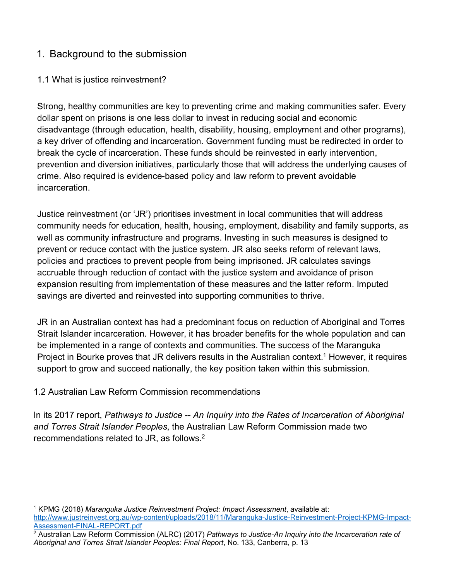# 1. Background to the submission

# 1.1 What is justice reinvestment?

Strong, healthy communities are key to preventing crime and making communities safer. Every dollar spent on prisons is one less dollar to invest in reducing social and economic disadvantage (through education, health, disability, housing, employment and other programs), a key driver of offending and incarceration. Government funding must be redirected in order to break the cycle of incarceration. These funds should be reinvested in early intervention, prevention and diversion initiatives, particularly those that will address the underlying causes of crime. Also required is evidence-based policy and law reform to prevent avoidable incarceration.

Justice reinvestment (or 'JR') prioritises investment in local communities that will address community needs for education, health, housing, employment, disability and family supports, as well as community infrastructure and programs. Investing in such measures is designed to prevent or reduce contact with the justice system. JR also seeks reform of relevant laws, policies and practices to prevent people from being imprisoned. JR calculates savings accruable through reduction of contact with the justice system and avoidance of prison expansion resulting from implementation of these measures and the latter reform. Imputed savings are diverted and reinvested into supporting communities to thrive.

JR in an Australian context has had a predominant focus on reduction of Aboriginal and Torres Strait Islander incarceration. However, it has broader benefits for the whole population and can be implemented in a range of contexts and communities. The success of the Maranguka Project in Bourke proves that JR delivers results in the Australian context.<sup>1</sup> However, it requires support to grow and succeed nationally, the key position taken within this submission.

# 1.2 Australian Law Reform Commission recommendations

In its 2017 report, *Pathways to Justice -- An Inquiry into the Rates of Incarceration of Aboriginal and Torres Strait Islander Peoples*, the Australian Law Reform Commission made two recommendations related to JR, as follows.2

 <sup>1</sup> KPMG (2018) *Maranguka Justice Reinvestment Project: Impact Assessment*, available at: http://www.justreinvest.org.au/wp-content/uploads/2018/11/Maranguka-Justice-Reinvestment-Project-KPMG-Impact-Assessment-FINAL-REPORT.pdf

<sup>2</sup> Australian Law Reform Commission (ALRC) (2017) *Pathways to Justice-An Inquiry into the Incarceration rate of Aboriginal and Torres Strait Islander Peoples: Final Report*, No. 133, Canberra, p. 13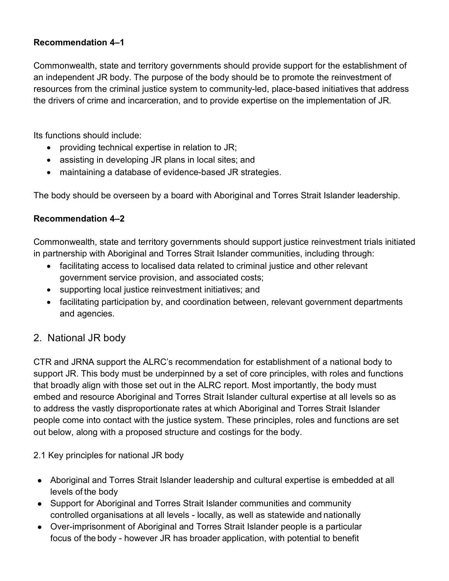# **Recommendation 4–1**

Commonwealth, state and territory governments should provide support for the establishment of an independent JR body. The purpose of the body should be to promote the reinvestment of resources from the criminal justice system to community-led, place-based initiatives that address the drivers of crime and incarceration, and to provide expertise on the implementation of JR.

Its functions should include:

- providing technical expertise in relation to JR;
- assisting in developing JR plans in local sites; and
- maintaining a database of evidence-based JR strategies.

The body should be overseen by a board with Aboriginal and Torres Strait Islander leadership.

# **Recommendation 4–2**

Commonwealth, state and territory governments should support justice reinvestment trials initiated in partnership with Aboriginal and Torres Strait Islander communities, including through:

- facilitating access to localised data related to criminal justice and other relevant government service provision, and associated costs;
- supporting local justice reinvestment initiatives; and
- facilitating participation by, and coordination between, relevant government departments and agencies.

# 2. National JR body

CTR and JRNA support the ALRC's recommendation for establishment of a national body to support JR. This body must be underpinned by a set of core principles, with roles and functions that broadly align with those set out in the ALRC report. Most importantly, the body must embed and resource Aboriginal and Torres Strait Islander cultural expertise at all levels so as to address the vastly disproportionate rates at which Aboriginal and Torres Strait Islander people come into contact with the justice system. These principles, roles and functions are set out below, along with a proposed structure and costings for the body.

2.1 Key principles for national JR body

- Aboriginal and Torres Strait Islander leadership and cultural expertise is embedded at all levels of the body
- Support for Aboriginal and Torres Strait Islander communities and community controlled organisations at all levels - locally, as well as statewide and nationally
- Over-imprisonment of Aboriginal and Torres Strait Islander people is a particular focus of the body - however JR has broader application, with potential to benefit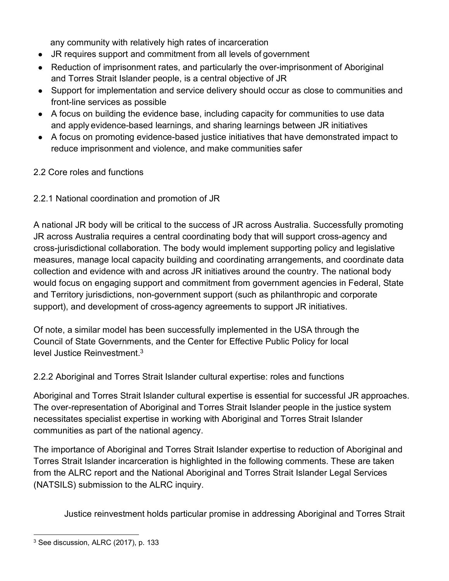any community with relatively high rates of incarceration

- JR requires support and commitment from all levels of government
- Reduction of imprisonment rates, and particularly the over-imprisonment of Aboriginal and Torres Strait Islander people, is a central objective of JR
- Support for implementation and service delivery should occur as close to communities and front-line services as possible
- A focus on building the evidence base, including capacity for communities to use data and apply evidence-based learnings, and sharing learnings between JR initiatives
- A focus on promoting evidence-based justice initiatives that have demonstrated impact to reduce imprisonment and violence, and make communities safer

# 2.2 Core roles and functions

# 2.2.1 National coordination and promotion of JR

A national JR body will be critical to the success of JR across Australia. Successfully promoting JR across Australia requires a central coordinating body that will support cross-agency and cross-jurisdictional collaboration. The body would implement supporting policy and legislative measures, manage local capacity building and coordinating arrangements, and coordinate data collection and evidence with and across JR initiatives around the country. The national body would focus on engaging support and commitment from government agencies in Federal, State and Territory jurisdictions, non-government support (such as philanthropic and corporate support), and development of cross-agency agreements to support JR initiatives.

Of note, a similar model has been successfully implemented in the USA through the Council of State Governments, and the Center for Effective Public Policy for local level Justice Reinvestment.3

2.2.2 Aboriginal and Torres Strait Islander cultural expertise: roles and functions

Aboriginal and Torres Strait Islander cultural expertise is essential for successful JR approaches. The over-representation of Aboriginal and Torres Strait Islander people in the justice system necessitates specialist expertise in working with Aboriginal and Torres Strait Islander communities as part of the national agency.

The importance of Aboriginal and Torres Strait Islander expertise to reduction of Aboriginal and Torres Strait Islander incarceration is highlighted in the following comments. These are taken from the ALRC report and the National Aboriginal and Torres Strait Islander Legal Services (NATSILS) submission to the ALRC inquiry.

Justice reinvestment holds particular promise in addressing Aboriginal and Torres Strait

<sup>&</sup>lt;sup>3</sup> See discussion, ALRC (2017), p. 133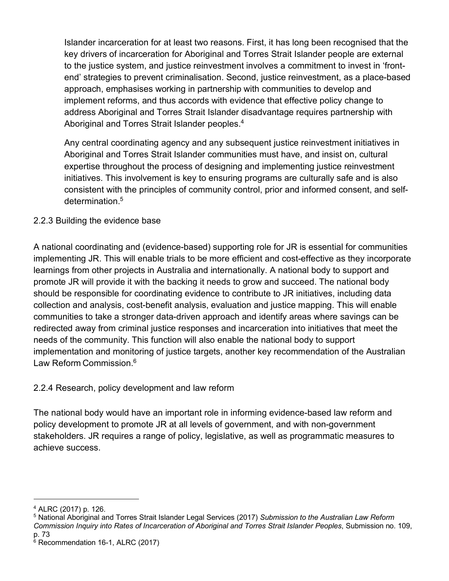Islander incarceration for at least two reasons. First, it has long been recognised that the key drivers of incarceration for Aboriginal and Torres Strait Islander people are external to the justice system, and justice reinvestment involves a commitment to invest in 'frontend' strategies to prevent criminalisation. Second, justice reinvestment, as a place-based approach, emphasises working in partnership with communities to develop and implement reforms, and thus accords with evidence that effective policy change to address Aboriginal and Torres Strait Islander disadvantage requires partnership with Aboriginal and Torres Strait Islander peoples.4

Any central coordinating agency and any subsequent justice reinvestment initiatives in Aboriginal and Torres Strait Islander communities must have, and insist on, cultural expertise throughout the process of designing and implementing justice reinvestment initiatives. This involvement is key to ensuring programs are culturally safe and is also consistent with the principles of community control, prior and informed consent, and selfdetermination.<sup>5</sup>

# 2.2.3 Building the evidence base

A national coordinating and (evidence-based) supporting role for JR is essential for communities implementing JR. This will enable trials to be more efficient and cost-effective as they incorporate learnings from other projects in Australia and internationally. A national body to support and promote JR will provide it with the backing it needs to grow and succeed. The national body should be responsible for coordinating evidence to contribute to JR initiatives, including data collection and analysis, cost-benefit analysis, evaluation and justice mapping. This will enable communities to take a stronger data-driven approach and identify areas where savings can be redirected away from criminal justice responses and incarceration into initiatives that meet the needs of the community. This function will also enable the national body to support implementation and monitoring of justice targets, another key recommendation of the Australian Law Reform Commission.6

# 2.2.4 Research, policy development and law reform

The national body would have an important role in informing evidence-based law reform and policy development to promote JR at all levels of government, and with non-government stakeholders. JR requires a range of policy, legislative, as well as programmatic measures to achieve success.

 <sup>4</sup> ALRC (2017) p. 126.

<sup>5</sup> National Aboriginal and Torres Strait Islander Legal Services (2017) *Submission to the Australian Law Reform Commission Inquiry into Rates of Incarceration of Aboriginal and Torres Strait Islander Peoples*, Submission no. 109, p. 73

<sup>&</sup>lt;sup>6</sup> Recommendation 16-1, ALRC (2017)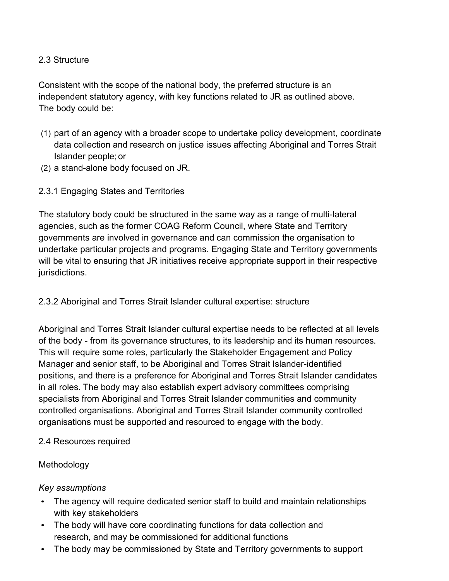# 2.3 Structure

Consistent with the scope of the national body, the preferred structure is an independent statutory agency, with key functions related to JR as outlined above. The body could be:

- (1) part of an agency with a broader scope to undertake policy development, coordinate data collection and research on justice issues affecting Aboriginal and Torres Strait Islander people; or
- (2) a stand-alone body focused on JR.
- 2.3.1 Engaging States and Territories

The statutory body could be structured in the same way as a range of multi-lateral agencies, such as the former COAG Reform Council, where State and Territory governments are involved in governance and can commission the organisation to undertake particular projects and programs. Engaging State and Territory governments will be vital to ensuring that JR initiatives receive appropriate support in their respective jurisdictions.

2.3.2 Aboriginal and Torres Strait Islander cultural expertise: structure

Aboriginal and Torres Strait Islander cultural expertise needs to be reflected at all levels of the body - from its governance structures, to its leadership and its human resources. This will require some roles, particularly the Stakeholder Engagement and Policy Manager and senior staff, to be Aboriginal and Torres Strait Islander-identified positions, and there is a preference for Aboriginal and Torres Strait Islander candidates in all roles. The body may also establish expert advisory committees comprising specialists from Aboriginal and Torres Strait Islander communities and community controlled organisations. Aboriginal and Torres Strait Islander community controlled organisations must be supported and resourced to engage with the body.

#### 2.4 Resources required

# Methodology

#### *Key assumptions*

- The agency will require dedicated senior staff to build and maintain relationships with key stakeholders
- The body will have core coordinating functions for data collection and research, and may be commissioned for additional functions
- The body may be commissioned by State and Territory governments to support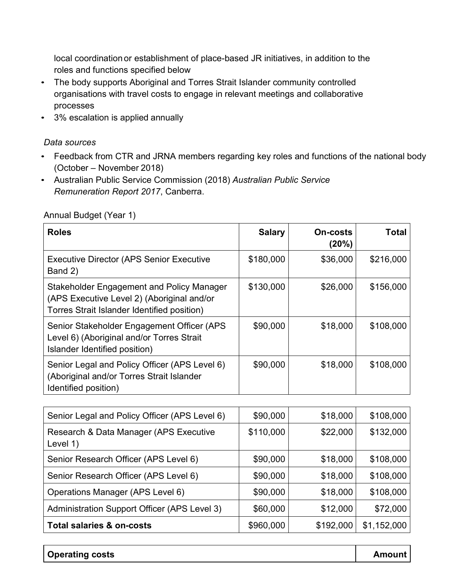local coordination or establishment of place-based JR initiatives, in addition to the roles and functions specified below

- The body supports Aboriginal and Torres Strait Islander community controlled organisations with travel costs to engage in relevant meetings and collaborative processes
- 3% escalation is applied annually

#### *Data sources*

- Feedback from CTR and JRNA members regarding key roles and functions of the national body (October – November 2018)
- Australian Public Service Commission (2018) *Australian Public Service Remuneration Report 2017*, Canberra.

| <b>Roles</b>                                                                                                                           | <b>Salary</b> | <b>On-costs</b><br>(20%) | Total     |
|----------------------------------------------------------------------------------------------------------------------------------------|---------------|--------------------------|-----------|
| <b>Executive Director (APS Senior Executive</b><br>Band 2)                                                                             | \$180,000     | \$36,000                 | \$216,000 |
| Stakeholder Engagement and Policy Manager<br>(APS Executive Level 2) (Aboriginal and/or<br>Torres Strait Islander Identified position) | \$130,000     | \$26,000                 | \$156,000 |
| Senior Stakeholder Engagement Officer (APS<br>Level 6) (Aboriginal and/or Torres Strait<br>Islander Identified position)               | \$90,000      | \$18,000                 | \$108,000 |
| Senior Legal and Policy Officer (APS Level 6)<br>(Aboriginal and/or Torres Strait Islander<br>Identified position)                     | \$90,000      | \$18,000                 | \$108,000 |

#### Annual Budget (Year 1)

| Senior Legal and Policy Officer (APS Level 6)      | \$90,000  | \$18,000  | \$108,000   |
|----------------------------------------------------|-----------|-----------|-------------|
| Research & Data Manager (APS Executive<br>Level 1) | \$110,000 | \$22,000  | \$132,000   |
| Senior Research Officer (APS Level 6)              | \$90,000  | \$18,000  | \$108,000   |
| Senior Research Officer (APS Level 6)              | \$90,000  | \$18,000  | \$108,000   |
| Operations Manager (APS Level 6)                   | \$90,000  | \$18,000  | \$108,000   |
| Administration Support Officer (APS Level 3)       | \$60,000  | \$12,000  | \$72,000    |
| <b>Total salaries &amp; on-costs</b>               | \$960,000 | \$192,000 | \$1,152,000 |

**Operating costs Amount**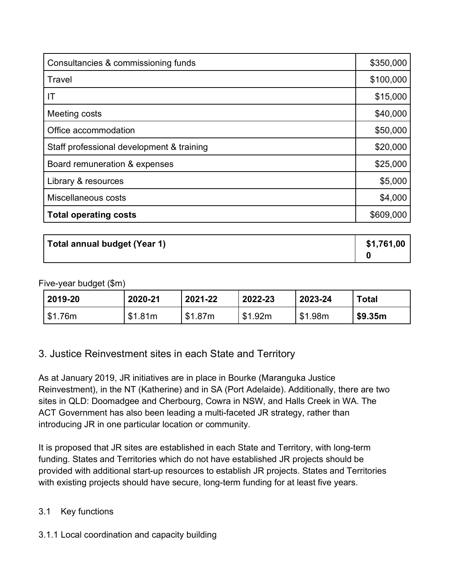| Consultancies & commissioning funds       |           |  |
|-------------------------------------------|-----------|--|
| Travel                                    | \$100,000 |  |
| IT                                        | \$15,000  |  |
| Meeting costs                             | \$40,000  |  |
| Office accommodation                      | \$50,000  |  |
| Staff professional development & training | \$20,000  |  |
| Board remuneration & expenses             | \$25,000  |  |
| Library & resources                       | \$5,000   |  |
| Miscellaneous costs                       | \$4,000   |  |
| <b>Total operating costs</b>              | \$609,000 |  |

**Total annual budget (Year 1) \$1,761,00 0**

#### Five-year budget (\$m)

| 2019-20 | 2020-21 | 2021-22 | 2022-23 | 2023-24 | Total   |
|---------|---------|---------|---------|---------|---------|
| \$1.76m | \$1.81m | \$1.87m | \$1.92m | \$1.98m | \$9.35m |

# 3. Justice Reinvestment sites in each State and Territory

As at January 2019, JR initiatives are in place in Bourke (Maranguka Justice Reinvestment), in the NT (Katherine) and in SA (Port Adelaide). Additionally, there are two sites in QLD: Doomadgee and Cherbourg, Cowra in NSW, and Halls Creek in WA. The ACT Government has also been leading a multi-faceted JR strategy, rather than introducing JR in one particular location or community.

It is proposed that JR sites are established in each State and Territory, with long-term funding. States and Territories which do not have established JR projects should be provided with additional start-up resources to establish JR projects. States and Territories with existing projects should have secure, long-term funding for at least five years.

# 3.1 Key functions

3.1.1 Local coordination and capacity building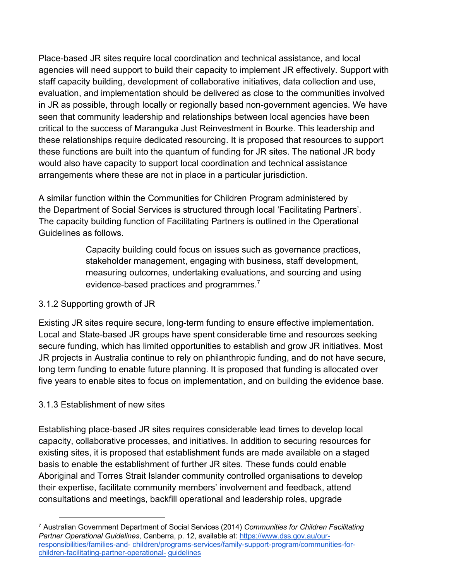Place-based JR sites require local coordination and technical assistance, and local agencies will need support to build their capacity to implement JR effectively. Support with staff capacity building, development of collaborative initiatives, data collection and use, evaluation, and implementation should be delivered as close to the communities involved in JR as possible, through locally or regionally based non-government agencies. We have seen that community leadership and relationships between local agencies have been critical to the success of Maranguka Just Reinvestment in Bourke. This leadership and these relationships require dedicated resourcing. It is proposed that resources to support these functions are built into the quantum of funding for JR sites. The national JR body would also have capacity to support local coordination and technical assistance arrangements where these are not in place in a particular jurisdiction.

A similar function within the Communities for Children Program administered by the Department of Social Services is structured through local 'Facilitating Partners'. The capacity building function of Facilitating Partners is outlined in the Operational Guidelines as follows.

> Capacity building could focus on issues such as governance practices, stakeholder management, engaging with business, staff development, measuring outcomes, undertaking evaluations, and sourcing and using evidence-based practices and programmes*.* 7

# 3.1.2 Supporting growth of JR

Existing JR sites require secure, long-term funding to ensure effective implementation. Local and State-based JR groups have spent considerable time and resources seeking secure funding, which has limited opportunities to establish and grow JR initiatives. Most JR projects in Australia continue to rely on philanthropic funding, and do not have secure, long term funding to enable future planning. It is proposed that funding is allocated over five years to enable sites to focus on implementation, and on building the evidence base.

# 3.1.3 Establishment of new sites

Establishing place-based JR sites requires considerable lead times to develop local capacity, collaborative processes, and initiatives. In addition to securing resources for existing sites, it is proposed that establishment funds are made available on a staged basis to enable the establishment of further JR sites. These funds could enable Aboriginal and Torres Strait Islander community controlled organisations to develop their expertise, facilitate community members' involvement and feedback, attend consultations and meetings, backfill operational and leadership roles, upgrade

 <sup>7</sup> Australian Government Department of Social Services (2014) *Communities for Children Facilitating Partner Operational Guidelines*, Canberra, p. 12, available at: https://www.dss.gov.au/ourresponsibilities/families-and- children/programs-services/family-support-program/communities-forchildren-facilitating-partner-operational- guidelines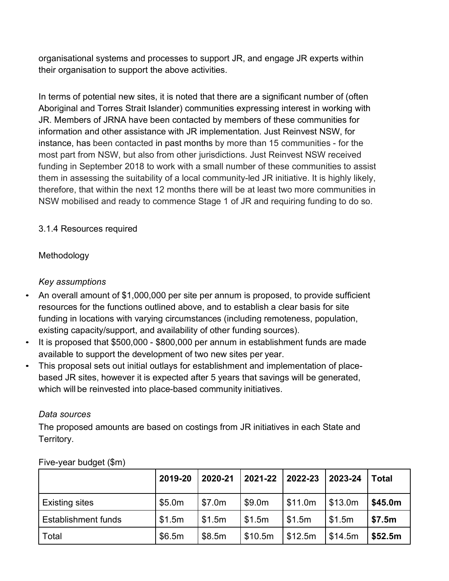organisational systems and processes to support JR, and engage JR experts within their organisation to support the above activities.

In terms of potential new sites, it is noted that there are a significant number of (often Aboriginal and Torres Strait Islander) communities expressing interest in working with JR. Members of JRNA have been contacted by members of these communities for information and other assistance with JR implementation. Just Reinvest NSW, for instance, has been contacted in past months by more than 15 communities - for the most part from NSW, but also from other jurisdictions. Just Reinvest NSW received funding in September 2018 to work with a small number of these communities to assist them in assessing the suitability of a local community-led JR initiative. It is highly likely, therefore, that within the next 12 months there will be at least two more communities in NSW mobilised and ready to commence Stage 1 of JR and requiring funding to do so.

# 3.1.4 Resources required

# Methodology

# *Key assumptions*

- An overall amount of \$1,000,000 per site per annum is proposed, to provide sufficient resources for the functions outlined above, and to establish a clear basis for site funding in locations with varying circumstances (including remoteness, population, existing capacity/support, and availability of other funding sources).
- It is proposed that \$500,000 \$800,000 per annum in establishment funds are made available to support the development of two new sites per year.
- This proposal sets out initial outlays for establishment and implementation of placebased JR sites, however it is expected after 5 years that savings will be generated, which will be reinvested into place-based community initiatives.

# *Data sources*

The proposed amounts are based on costings from JR initiatives in each State and Territory.

|                       | 2019-20 | 2020-21 | 2021-22 2022-23 |         | 2023-24          | <b>Total</b> |
|-----------------------|---------|---------|-----------------|---------|------------------|--------------|
| <b>Existing sites</b> | \$5.0m  | \$7.0m  | \$9.0m          | \$11.0m | $\sqrt{\$13.0m}$ | \$45.0m      |
| Establishment funds   | \$1.5m  | \$1.5m  | \$1.5m          | \$1.5m  | \$1.5m           | \$7.5m       |
| Total                 | \$6.5m  | \$8.5m  | \$10.5m         | \$12.5m | \$14.5m          | \$52.5m      |

# Five-year budget (\$m)